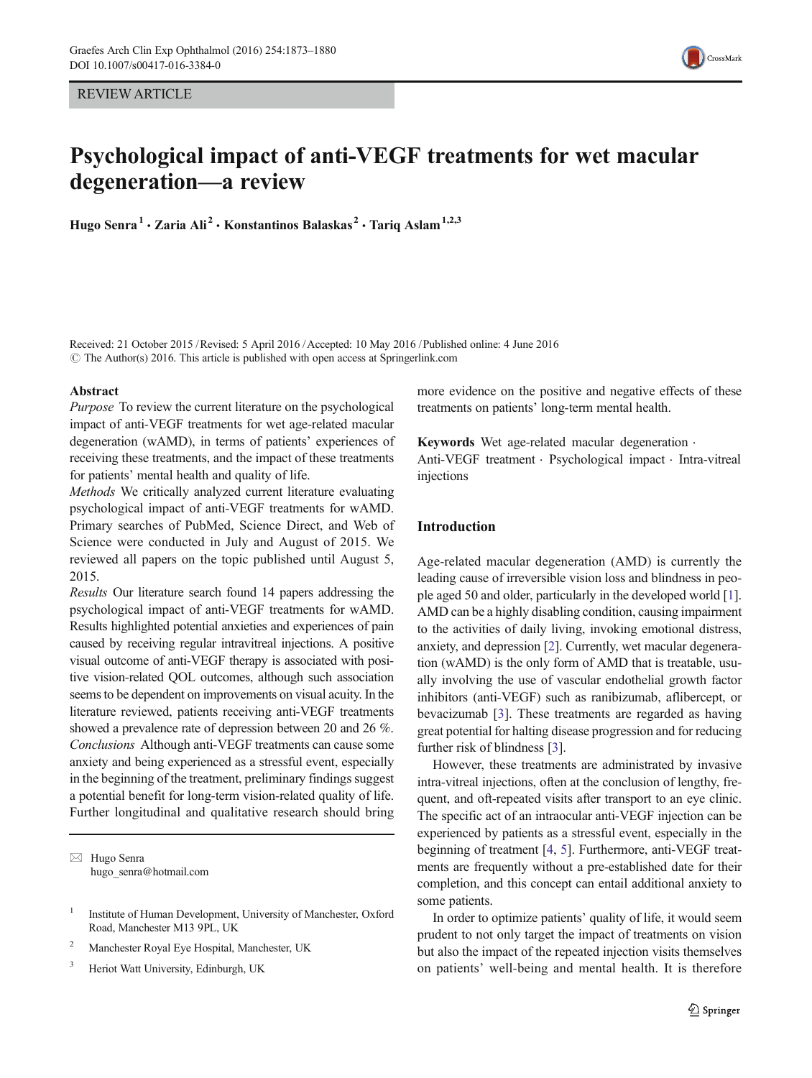REVIEW ARTICLE



# Psychological impact of anti-VEGF treatments for wet macular degeneration—a review

Hugo Senra<sup>1</sup> · Zaria Ali<sup>2</sup> · Konstantinos Balaskas<sup>2</sup> · Tariq Aslam<sup>1,2,3</sup>

Received: 21 October 2015 /Revised: 5 April 2016 /Accepted: 10 May 2016 /Published online: 4 June 2016  $\odot$  The Author(s) 2016. This article is published with open access at Springerlink.com

#### Abstract

Purpose To review the current literature on the psychological impact of anti-VEGF treatments for wet age-related macular degeneration (wAMD), in terms of patients' experiences of receiving these treatments, and the impact of these treatments for patients' mental health and quality of life.

Methods We critically analyzed current literature evaluating psychological impact of anti-VEGF treatments for wAMD. Primary searches of PubMed, Science Direct, and Web of Science were conducted in July and August of 2015. We reviewed all papers on the topic published until August 5, 2015.

Results Our literature search found 14 papers addressing the psychological impact of anti-VEGF treatments for wAMD. Results highlighted potential anxieties and experiences of pain caused by receiving regular intravitreal injections. A positive visual outcome of anti-VEGF therapy is associated with positive vision-related QOL outcomes, although such association seems to be dependent on improvements on visual acuity. In the literature reviewed, patients receiving anti-VEGF treatments showed a prevalence rate of depression between 20 and 26 %. Conclusions Although anti-VEGF treatments can cause some anxiety and being experienced as a stressful event, especially in the beginning of the treatment, preliminary findings suggest a potential benefit for long-term vision-related quality of life. Further longitudinal and qualitative research should bring

 $\boxtimes$  Hugo Senra hugo\_senra@hotmail.com

- <sup>2</sup> Manchester Royal Eye Hospital, Manchester, UK
- <sup>3</sup> Heriot Watt University, Edinburgh, UK

more evidence on the positive and negative effects of these treatments on patients' long-term mental health.

Keywords Wet age-related macular degeneration . Anti-VEGF treatment . Psychological impact . Intra-vitreal injections

# Introduction

Age-related macular degeneration (AMD) is currently the leading cause of irreversible vision loss and blindness in people aged 50 and older, particularly in the developed world [[1\]](#page-7-0). AMD can be a highly disabling condition, causing impairment to the activities of daily living, invoking emotional distress, anxiety, and depression [\[2](#page-7-0)]. Currently, wet macular degeneration (wAMD) is the only form of AMD that is treatable, usually involving the use of vascular endothelial growth factor inhibitors (anti-VEGF) such as ranibizumab, aflibercept, or bevacizumab [\[3](#page-7-0)]. These treatments are regarded as having great potential for halting disease progression and for reducing further risk of blindness [\[3\]](#page-7-0).

However, these treatments are administrated by invasive intra-vitreal injections, often at the conclusion of lengthy, frequent, and oft-repeated visits after transport to an eye clinic. The specific act of an intraocular anti-VEGF injection can be experienced by patients as a stressful event, especially in the beginning of treatment [\[4](#page-7-0), [5](#page-7-0)]. Furthermore, anti-VEGF treatments are frequently without a pre-established date for their completion, and this concept can entail additional anxiety to some patients.

In order to optimize patients' quality of life, it would seem prudent to not only target the impact of treatments on vision but also the impact of the repeated injection visits themselves on patients' well-being and mental health. It is therefore

<sup>&</sup>lt;sup>1</sup> Institute of Human Development, University of Manchester, Oxford Road, Manchester M13 9PL, UK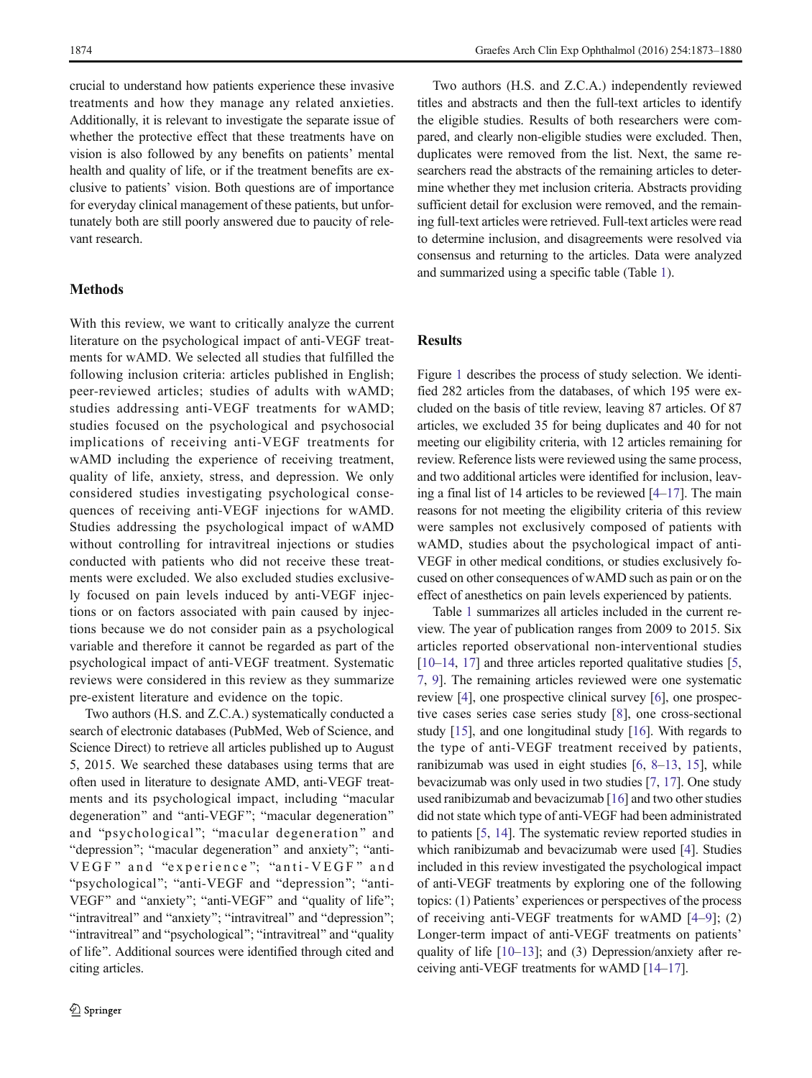crucial to understand how patients experience these invasive treatments and how they manage any related anxieties. Additionally, it is relevant to investigate the separate issue of whether the protective effect that these treatments have on vision is also followed by any benefits on patients' mental health and quality of life, or if the treatment benefits are exclusive to patients' vision. Both questions are of importance for everyday clinical management of these patients, but unfortunately both are still poorly answered due to paucity of relevant research.

# Methods

With this review, we want to critically analyze the current literature on the psychological impact of anti-VEGF treatments for wAMD. We selected all studies that fulfilled the following inclusion criteria: articles published in English; peer-reviewed articles; studies of adults with wAMD; studies addressing anti-VEGF treatments for wAMD; studies focused on the psychological and psychosocial implications of receiving anti-VEGF treatments for wAMD including the experience of receiving treatment, quality of life, anxiety, stress, and depression. We only considered studies investigating psychological consequences of receiving anti-VEGF injections for wAMD. Studies addressing the psychological impact of wAMD without controlling for intravitreal injections or studies conducted with patients who did not receive these treatments were excluded. We also excluded studies exclusively focused on pain levels induced by anti-VEGF injections or on factors associated with pain caused by injections because we do not consider pain as a psychological variable and therefore it cannot be regarded as part of the psychological impact of anti-VEGF treatment. Systematic reviews were considered in this review as they summarize pre-existent literature and evidence on the topic.

Two authors (H.S. and Z.C.A.) systematically conducted a search of electronic databases (PubMed, Web of Science, and Science Direct) to retrieve all articles published up to August 5, 2015. We searched these databases using terms that are often used in literature to designate AMD, anti-VEGF treatments and its psychological impact, including "macular degeneration" and "anti-VEGF"; "macular degeneration" and "psychological"; "macular degeneration" and "depression"; "macular degeneration" and anxiety"; "anti-VEGF" and "experience"; "anti-VEGF" and "psychological"; "anti-VEGF and "depression"; "anti-VEGF" and "anxiety"; "anti-VEGF" and "quality of life"; "intravitreal" and "anxiety"; "intravitreal" and "depression"; "intravitreal" and "psychological"; "intravitreal" and "quality of life". Additional sources were identified through cited and citing articles.

Two authors (H.S. and Z.C.A.) independently reviewed titles and abstracts and then the full-text articles to identify the eligible studies. Results of both researchers were compared, and clearly non-eligible studies were excluded. Then, duplicates were removed from the list. Next, the same researchers read the abstracts of the remaining articles to determine whether they met inclusion criteria. Abstracts providing sufficient detail for exclusion were removed, and the remaining full-text articles were retrieved. Full-text articles were read to determine inclusion, and disagreements were resolved via consensus and returning to the articles. Data were analyzed and summarized using a specific table (Table [1](#page-2-0)).

# Results

Figure [1](#page-4-0) describes the process of study selection. We identified 282 articles from the databases, of which 195 were excluded on the basis of title review, leaving 87 articles. Of 87 articles, we excluded 35 for being duplicates and 40 for not meeting our eligibility criteria, with 12 articles remaining for review. Reference lists were reviewed using the same process, and two additional articles were identified for inclusion, leaving a final list of 14 articles to be reviewed [\[4](#page-7-0)–[17\]](#page-7-0). The main reasons for not meeting the eligibility criteria of this review were samples not exclusively composed of patients with wAMD, studies about the psychological impact of anti-VEGF in other medical conditions, or studies exclusively focused on other consequences of wAMD such as pain or on the effect of anesthetics on pain levels experienced by patients.

Table [1](#page-2-0) summarizes all articles included in the current review. The year of publication ranges from 2009 to 2015. Six articles reported observational non-interventional studies [\[10](#page-7-0)–[14,](#page-7-0) [17\]](#page-7-0) and three articles reported qualitative studies [[5,](#page-7-0) [7,](#page-7-0) [9\]](#page-7-0). The remaining articles reviewed were one systematic review [[4\]](#page-7-0), one prospective clinical survey [\[6](#page-7-0)], one prospective cases series case series study [\[8](#page-7-0)], one cross-sectional study [[15](#page-7-0)], and one longitudinal study [\[16\]](#page-7-0). With regards to the type of anti-VEGF treatment received by patients, ranibizumab was used in eight studies [[6,](#page-7-0) [8](#page-7-0)–[13](#page-7-0), [15](#page-7-0)], while bevacizumab was only used in two studies [[7,](#page-7-0) [17](#page-7-0)]. One study used ranibizumab and bevacizumab [\[16](#page-7-0)] and two other studies did not state which type of anti-VEGF had been administrated to patients [[5](#page-7-0), [14\]](#page-7-0). The systematic review reported studies in which ranibizumab and bevacizumab were used [\[4\]](#page-7-0). Studies included in this review investigated the psychological impact of anti-VEGF treatments by exploring one of the following topics: (1) Patients' experiences or perspectives of the process of receiving anti-VEGF treatments for wAMD [\[4](#page-7-0)–[9\]](#page-7-0); (2) Longer-term impact of anti-VEGF treatments on patients' quality of life [[10](#page-7-0)–[13](#page-7-0)]; and (3) Depression/anxiety after receiving anti-VEGF treatments for wAMD [\[14](#page-7-0)–[17\]](#page-7-0).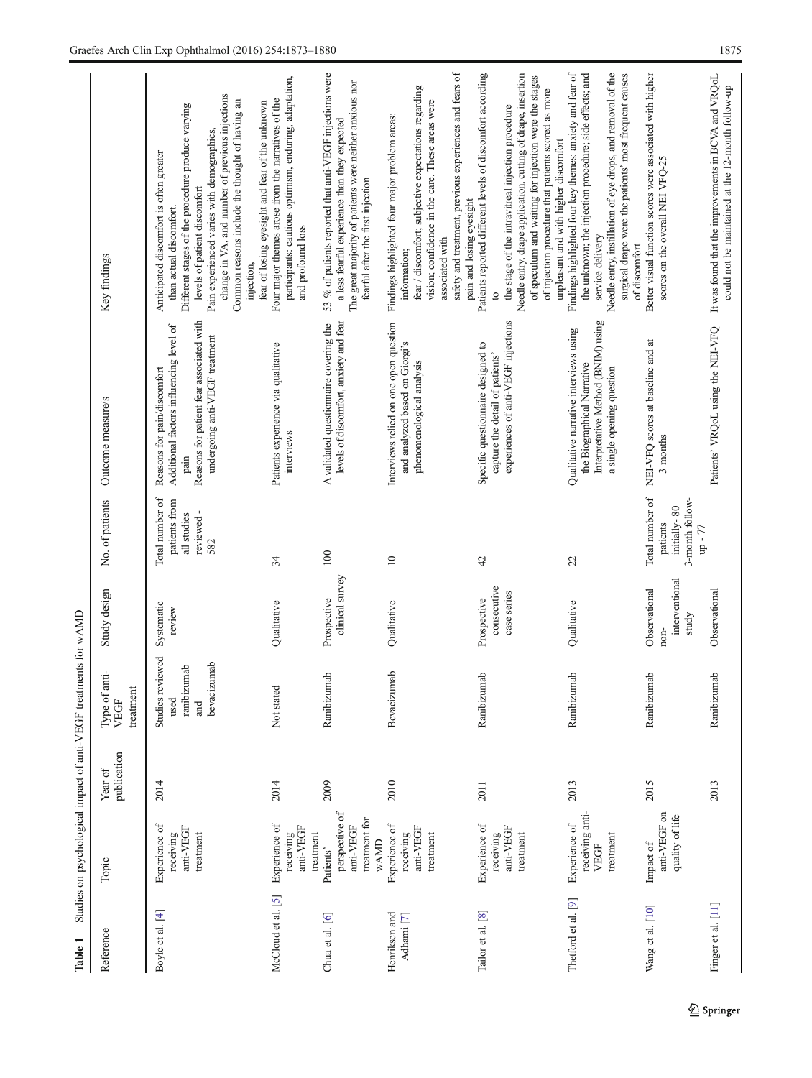<span id="page-2-0"></span>

| Table 1                     | Studies on psychological impact of anti-VEGF treatments for wAMD         |                        |                                                               |                                                  |                                                                                           |                                                                                                                                                              |                                                                                                                                                                                                                                                                                                                                                          |
|-----------------------------|--------------------------------------------------------------------------|------------------------|---------------------------------------------------------------|--------------------------------------------------|-------------------------------------------------------------------------------------------|--------------------------------------------------------------------------------------------------------------------------------------------------------------|----------------------------------------------------------------------------------------------------------------------------------------------------------------------------------------------------------------------------------------------------------------------------------------------------------------------------------------------------------|
| Reference                   | Topic                                                                    | publication<br>Year of | Type of anti-<br>treatment<br><b>VEGF</b>                     | Study design                                     | No. of patients                                                                           | Outcome measure/s                                                                                                                                            | Key findings                                                                                                                                                                                                                                                                                                                                             |
| Boyle et al. [4]            | Experience of<br>anti-VEGF<br>receiving<br>treatment                     | 2014                   | Studies reviewed<br>bevacizumab<br>ranibizumab<br>used<br>and | Systematic<br>review                             | Total number of<br>patients from<br>reviewed -<br>all studies<br>582                      | Reasons for patient fear associated with<br>Additional factors influencing level of<br>undergoing anti-VEGF treatment<br>Reasons for pain/discomfort<br>pain | change in VA, and number of previous injections<br>Common reasons include the thought of having an<br>Different stages of the procedure produce varying<br>Pain experienced varies with demographics,<br>Anticipated discomfort is often greater<br>levels of patient discomfort<br>than actual discomfort.<br>injection,                                |
| McCloud et al. [5]          | Experience of<br>anti-VEGF<br>receiving<br>treatment                     | 2014                   | Not stated                                                    | Qualitative                                      | 34                                                                                        | Patients experience via qualitative<br>interviews                                                                                                            | participants: cautious optimism, enduring, adaptation,<br>Four major themes arose from the narratives of the<br>fear of losing eyesight and fear of the unknown<br>and profound loss                                                                                                                                                                     |
| Chua et al. [6]             | perspective of<br>treatment for<br>anti-VEGF<br><b>WAMD</b><br>Patients' | 2009                   | Ranibizumab                                                   | clinical survey<br>Prospective                   | 100                                                                                       | levels of discomfort, anxiety and fear<br>A validated questionnaire covering the                                                                             | 53 % of patients reported that anti-VEGF injections were<br>The great majority of patients were neither anxious nor<br>a less fearful experience than they expected<br>fearful after the first injection                                                                                                                                                 |
| Henriksen and<br>Adhami [7] | Experience of<br>anti-VEGF<br>receiving<br>treatment                     | 2010                   | Bevacizumab                                                   | Qualitative                                      | $\overline{10}$                                                                           | Interviews relied on one open question<br>and analyzed based on Giorgi's<br>phenomenological analysis                                                        | safety and treatment, previous experiences and fears of<br>fear / discomfort; subjective expectations regarding<br>vision; confidence in the care. These areas were<br>Findings highlighted four major problem areas:<br>associated with<br>information;                                                                                                 |
| Tailor et al. [8]           | Experience of<br>receiving<br>anti-VEGF<br>treatment                     | 2011                   | Ranibizumab                                                   | consecutive<br>case series<br>Prospective        | 42                                                                                        | experiences of anti-VEGF injections<br>Specific questionnaire designed to<br>capture the detail of patients'                                                 | Needle entry, drape application, cutting of drape, insertion<br>Patients reported different levels of discomfort according<br>of speculum and waiting for injection were the stages<br>of injection procedure that patients scored as more<br>the stage of the intravitreal injection procedure<br>pain and losing eyesight<br>$\boldsymbol{\mathsf{c}}$ |
| Thetford et al. [9]         | receiving anti-<br>Experience of<br>treatment<br>VEGF                    | 2013                   | Ranibizumab                                                   | Qualitative                                      | 22                                                                                        | Interpretative Method (BNIM) using<br>Qualitative narrative interviews using<br>the Biographical Narrative<br>a single opening question                      | Findings highlighted four key themes: anxiety and fear of<br>the unknown; the injection procedure; side effects; and<br>Needle entry, instillation of eye drops, and removal of the<br>surgical drape were the patients' most frequent causes<br>unpleasant and with higher discomfort<br>service delivery                                               |
| Wang et al. [10]            | anti-VEGF on<br>quality of life<br>Impact of                             | 2015                   | Ranibizumab                                                   | interventional<br>Observational<br>study<br>non- | Total number of<br>3-month follow-<br>initially-80<br>patients<br>$\tau\tau$ - $\tau\tau$ | NEI-VFQ scores at baseline and at<br>3 months                                                                                                                | Better visual function scores were associated with higher<br>scores on the overall NEI VFQ-25<br>of discomfort                                                                                                                                                                                                                                           |
| Finger et al. [11]          |                                                                          | 2013                   | Ranibizumab                                                   | Observational                                    |                                                                                           | Patients' VRQoL using the NEI-VFQ                                                                                                                            | It was found that the improvements in BCVA and VRQoL<br>could not be maintained at the 12-month follow-up                                                                                                                                                                                                                                                |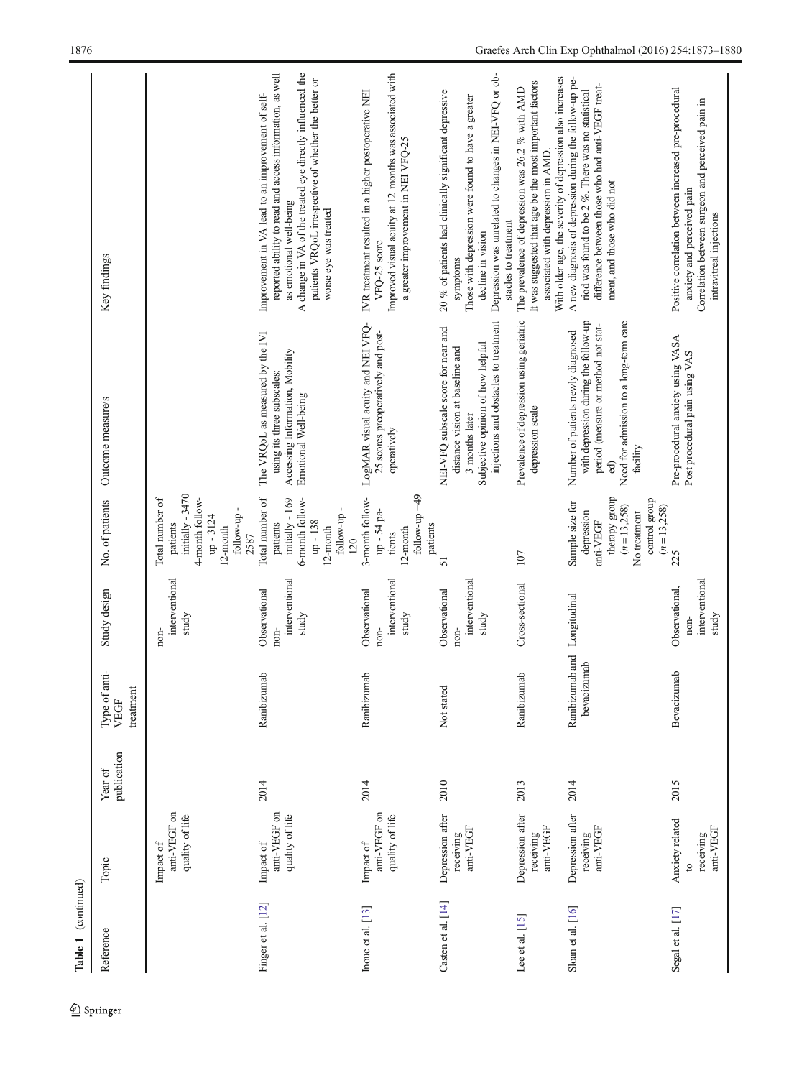| Table 1 (continued) |                                                      |                        |                                             |                                                  |                                                                                                                                  |                                                                                                                                                                               |                                                                                                                                                                                                                                                                                        |
|---------------------|------------------------------------------------------|------------------------|---------------------------------------------|--------------------------------------------------|----------------------------------------------------------------------------------------------------------------------------------|-------------------------------------------------------------------------------------------------------------------------------------------------------------------------------|----------------------------------------------------------------------------------------------------------------------------------------------------------------------------------------------------------------------------------------------------------------------------------------|
| Reference           | Topic                                                | publication<br>Year of | Type of anti-<br>treatment<br>VEGF          | Study design                                     | No. of patients                                                                                                                  | Outcome measure/s                                                                                                                                                             | Key findings                                                                                                                                                                                                                                                                           |
|                     | anti-VEGF on<br>quality of life<br>Impact of         |                        |                                             | interventional<br>study<br>non-                  | initially - 3470<br>4-month follow-<br>Total number of<br>follow-up -<br>up - 3124<br>patients<br>12-month<br>2587               |                                                                                                                                                                               |                                                                                                                                                                                                                                                                                        |
| Finger et al. [12]  | anti-VEGF on<br>quality of life<br>Impact of         | 2014                   | Ranibizumab                                 | interventional<br>Observational<br>study<br>non- | Total number of<br>6-month follow-<br>initially - 169<br>follow-up -<br>up - 138<br>patients<br>$12$ -month<br>120               | The VRQoL as measured by the IVI<br>Accessing Information, Mobility<br>using its three subscales:<br>Emotional Well-being                                                     | A change in VA of the treated eye directly influenced the<br>reported ability to read and access information, as well<br>patients VRQoL irrespective of whether the better or<br>Improvement in VA lead to an improvement of self-<br>as emotional well-being<br>worse eye was treated |
| Inoue et al. [13]   | anti-VEGF on<br>quality of life<br>Impact of         | 2014                   | Ranibizumab                                 | interventional<br>Observational<br>study<br>non- | $follow-up -49$<br>3-month follow-<br>up - 54 pa-<br>patients<br>$12$ -month<br>tients                                           | LogMAR visual acuity and NEI VFQ-<br>25 scores preoperatively and post-<br>operatively                                                                                        | Improved visual acuity at 12 months was associated with<br>IVR treatment resulted in a higher postoperative NEI<br>a greater improvement in NEI VFQ-25<br>VFQ-25 score                                                                                                                 |
| Casten et al. [14]  | Depression after<br>anti-VEGF<br>receiving           | 2010                   | Not stated                                  | interventional<br>Observational<br>study<br>non- | 51                                                                                                                               | injections and obstacles to treatment<br>NEI-VFQ subscale score for near and<br>Subjective opinion of how helpful<br>distance vision at baseline and<br>3 months later        | Depression was unrelated to changes in NEI-VFQ or ob-<br>20 % of patients had clinically significant depressive<br>Those with depression were found to have a greater<br>stacles to treatment<br>decline in vision<br>symptoms                                                         |
| Lee et al. [15]     | Depression after<br>anti-VEGF<br>receiving           | 2013                   | Ranibizumab                                 | Cross-sectional                                  | 107                                                                                                                              | Prevalence of depression using geriatric<br>depression scale                                                                                                                  | With older age, the severity of depression also increases<br>It was suggested that age be the most important factors<br>The prevalence of depression was 26.2 % with AMD<br>associated with depression in AMD.                                                                         |
| Sloan et al. [16]   | Depression after<br>anti-VEGF<br>receiving           | 2014                   | Ranibizumab and Longitudinal<br>bevacizumab |                                                  | therapy group<br>control group<br>Sample size for<br>$(n = 13,258)$<br>$(n = 13,258)$<br>depression<br>No treatment<br>anti-VEGF | Need for admission to a long-term care<br>with depression during the follow-up<br>period (measure or method not stat-<br>Number of patients newly diagnosed<br>facility<br>ල් | A new diagnosis of depression during the follow-up pe-<br>difference between those who had anti-VEGF treat-<br>riod was found to be 2 %. There was no statistical<br>ment, and those who did not                                                                                       |
| Segal et al. [17]   | Anxiety related<br>anti-VEGF<br>receiving<br>$\circ$ | 2015                   | Bevacizumab                                 | interventional<br>Observational<br>study<br>non- | 225                                                                                                                              | Pre-procedural anxiety using VASA<br>Post procedural pain using VAS                                                                                                           | Positive correlation between increased pre-procedural<br>Correlation between surgeon and perceived pain in<br>anxiety and perceived pain<br>intravitreal injections                                                                                                                    |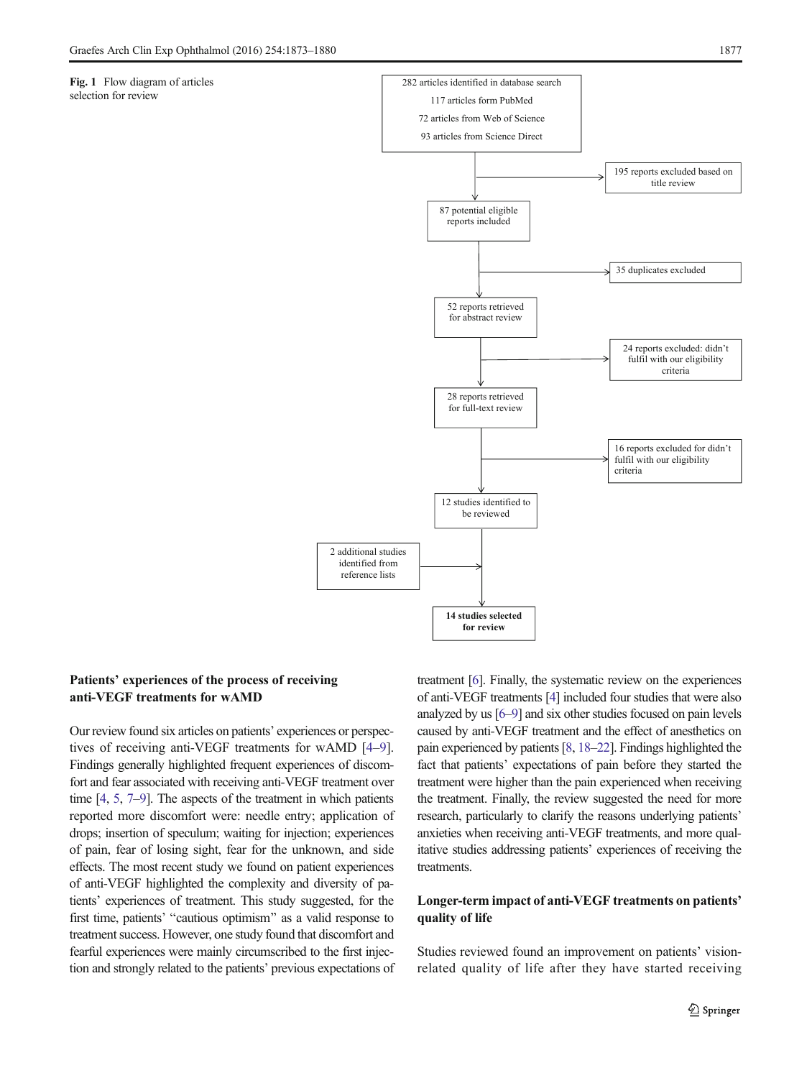<span id="page-4-0"></span>



# Patients' experiences of the process of receiving anti-VEGF treatments for wAMD

Our review found six articles on patients' experiences or perspectives of receiving anti-VEGF treatments for wAMD [[4](#page-7-0)–[9](#page-7-0)]. Findings generally highlighted frequent experiences of discomfort and fear associated with receiving anti-VEGF treatment over time [\[4,](#page-7-0) [5,](#page-7-0) [7](#page-7-0)–[9](#page-7-0)]. The aspects of the treatment in which patients reported more discomfort were: needle entry; application of drops; insertion of speculum; waiting for injection; experiences of pain, fear of losing sight, fear for the unknown, and side effects. The most recent study we found on patient experiences of anti-VEGF highlighted the complexity and diversity of patients' experiences of treatment. This study suggested, for the first time, patients' "cautious optimism" as a valid response to treatment success. However, one study found that discomfort and fearful experiences were mainly circumscribed to the first injection and strongly related to the patients' previous expectations of treatment [[6](#page-7-0)]. Finally, the systematic review on the experiences of anti-VEGF treatments [\[4\]](#page-7-0) included four studies that were also analyzed by us [\[6](#page-7-0)–[9](#page-7-0)] and six other studies focused on pain levels caused by anti-VEGF treatment and the effect of anesthetics on pain experienced by patients [\[8,](#page-7-0) [18](#page-7-0)–[22](#page-7-0)]. Findings highlighted the fact that patients' expectations of pain before they started the treatment were higher than the pain experienced when receiving the treatment. Finally, the review suggested the need for more research, particularly to clarify the reasons underlying patients' anxieties when receiving anti-VEGF treatments, and more qualitative studies addressing patients' experiences of receiving the treatments.

# Longer-term impact of anti-VEGF treatments on patients' quality of life

Studies reviewed found an improvement on patients' visionrelated quality of life after they have started receiving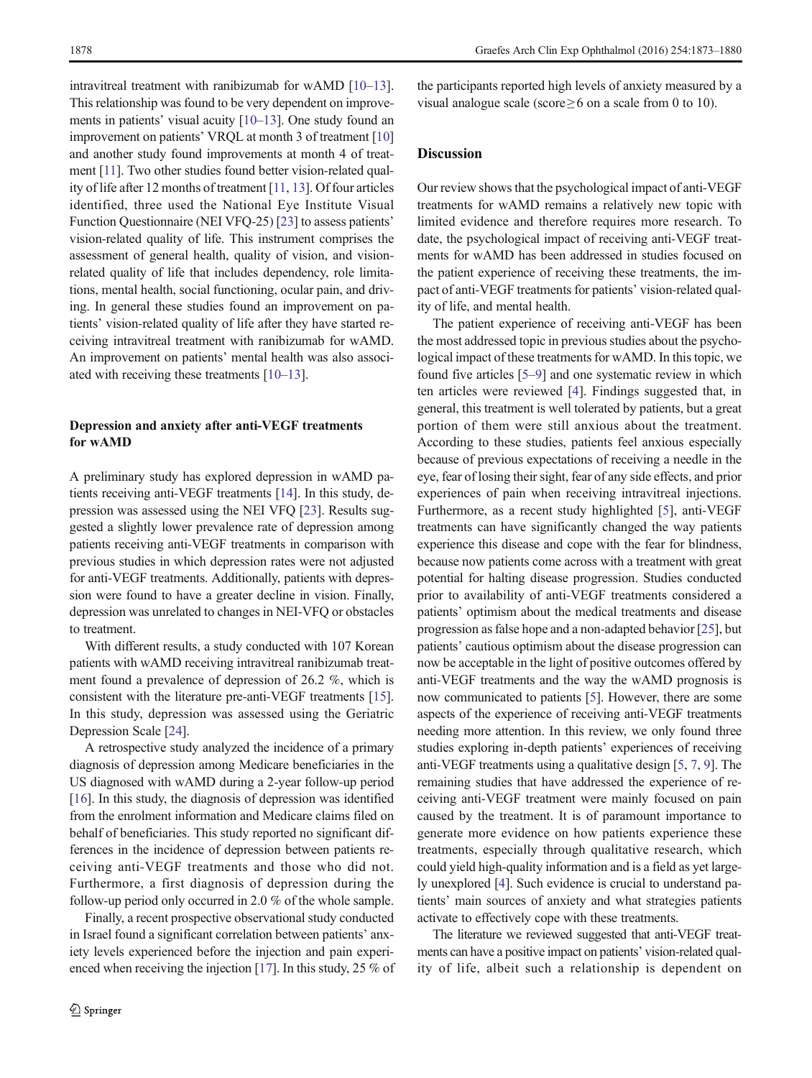intravitreal treatment with ranibizumab for wAMD [\[10](#page-7-0)–[13\]](#page-7-0). This relationship was found to be very dependent on improvements in patients' visual acuity [[10](#page-7-0)–[13\]](#page-7-0). One study found an improvement on patients' VRQL at month 3 of treatment [\[10\]](#page-7-0) and another study found improvements at month 4 of treatment [\[11](#page-7-0)]. Two other studies found better vision-related quality of life after 12 months of treatment [\[11,](#page-7-0) [13](#page-7-0)]. Of four articles identified, three used the National Eye Institute Visual Function Questionnaire (NEI VFQ-25) [[23\]](#page-7-0) to assess patients' vision-related quality of life. This instrument comprises the assessment of general health, quality of vision, and visionrelated quality of life that includes dependency, role limitations, mental health, social functioning, ocular pain, and driving. In general these studies found an improvement on patients' vision-related quality of life after they have started receiving intravitreal treatment with ranibizumab for wAMD. An improvement on patients' mental health was also associated with receiving these treatments [\[10](#page-7-0)–[13\]](#page-7-0).

## Depression and anxiety after anti-VEGF treatments for wAMD

A preliminary study has explored depression in wAMD patients receiving anti-VEGF treatments [\[14\]](#page-7-0). In this study, depression was assessed using the NEI VFQ [[23\]](#page-7-0). Results suggested a slightly lower prevalence rate of depression among patients receiving anti-VEGF treatments in comparison with previous studies in which depression rates were not adjusted for anti-VEGF treatments. Additionally, patients with depression were found to have a greater decline in vision. Finally, depression was unrelated to changes in NEI-VFQ or obstacles to treatment.

With different results, a study conducted with 107 Korean patients with wAMD receiving intravitreal ranibizumab treatment found a prevalence of depression of 26.2 %, which is consistent with the literature pre-anti-VEGF treatments [[15\]](#page-7-0). In this study, depression was assessed using the Geriatric Depression Scale [[24\]](#page-7-0).

A retrospective study analyzed the incidence of a primary diagnosis of depression among Medicare beneficiaries in the US diagnosed with wAMD during a 2-year follow-up period [\[16\]](#page-7-0). In this study, the diagnosis of depression was identified from the enrolment information and Medicare claims filed on behalf of beneficiaries. This study reported no significant differences in the incidence of depression between patients receiving anti-VEGF treatments and those who did not. Furthermore, a first diagnosis of depression during the follow-up period only occurred in 2.0 % of the whole sample.

Finally, a recent prospective observational study conducted in Israel found a significant correlation between patients' anxiety levels experienced before the injection and pain experienced when receiving the injection [\[17\]](#page-7-0). In this study, 25 % of the participants reported high levels of anxiety measured by a visual analogue scale (score≥ 6 on a scale from 0 to 10).

## **Discussion**

Our review shows that the psychological impact of anti-VEGF treatments for wAMD remains a relatively new topic with limited evidence and therefore requires more research. To date, the psychological impact of receiving anti-VEGF treatments for wAMD has been addressed in studies focused on the patient experience of receiving these treatments, the impact of anti-VEGF treatments for patients' vision-related quality of life, and mental health.

The patient experience of receiving anti-VEGF has been the most addressed topic in previous studies about the psychological impact of these treatments for wAMD. In this topic, we found five articles [\[5](#page-7-0)–[9\]](#page-7-0) and one systematic review in which ten articles were reviewed [[4\]](#page-7-0). Findings suggested that, in general, this treatment is well tolerated by patients, but a great portion of them were still anxious about the treatment. According to these studies, patients feel anxious especially because of previous expectations of receiving a needle in the eye, fear of losing their sight, fear of any side effects, and prior experiences of pain when receiving intravitreal injections. Furthermore, as a recent study highlighted [\[5](#page-7-0)], anti-VEGF treatments can have significantly changed the way patients experience this disease and cope with the fear for blindness, because now patients come across with a treatment with great potential for halting disease progression. Studies conducted prior to availability of anti-VEGF treatments considered a patients' optimism about the medical treatments and disease progression as false hope and a non-adapted behavior [[25](#page-7-0)], but patients' cautious optimism about the disease progression can now be acceptable in the light of positive outcomes offered by anti-VEGF treatments and the way the wAMD prognosis is now communicated to patients [[5\]](#page-7-0). However, there are some aspects of the experience of receiving anti-VEGF treatments needing more attention. In this review, we only found three studies exploring in-depth patients' experiences of receiving anti-VEGF treatments using a qualitative design [\[5](#page-7-0), [7,](#page-7-0) [9](#page-7-0)]. The remaining studies that have addressed the experience of receiving anti-VEGF treatment were mainly focused on pain caused by the treatment. It is of paramount importance to generate more evidence on how patients experience these treatments, especially through qualitative research, which could yield high-quality information and is a field as yet largely unexplored [[4\]](#page-7-0). Such evidence is crucial to understand patients' main sources of anxiety and what strategies patients activate to effectively cope with these treatments.

The literature we reviewed suggested that anti-VEGF treatments can have a positive impact on patients' vision-related quality of life, albeit such a relationship is dependent on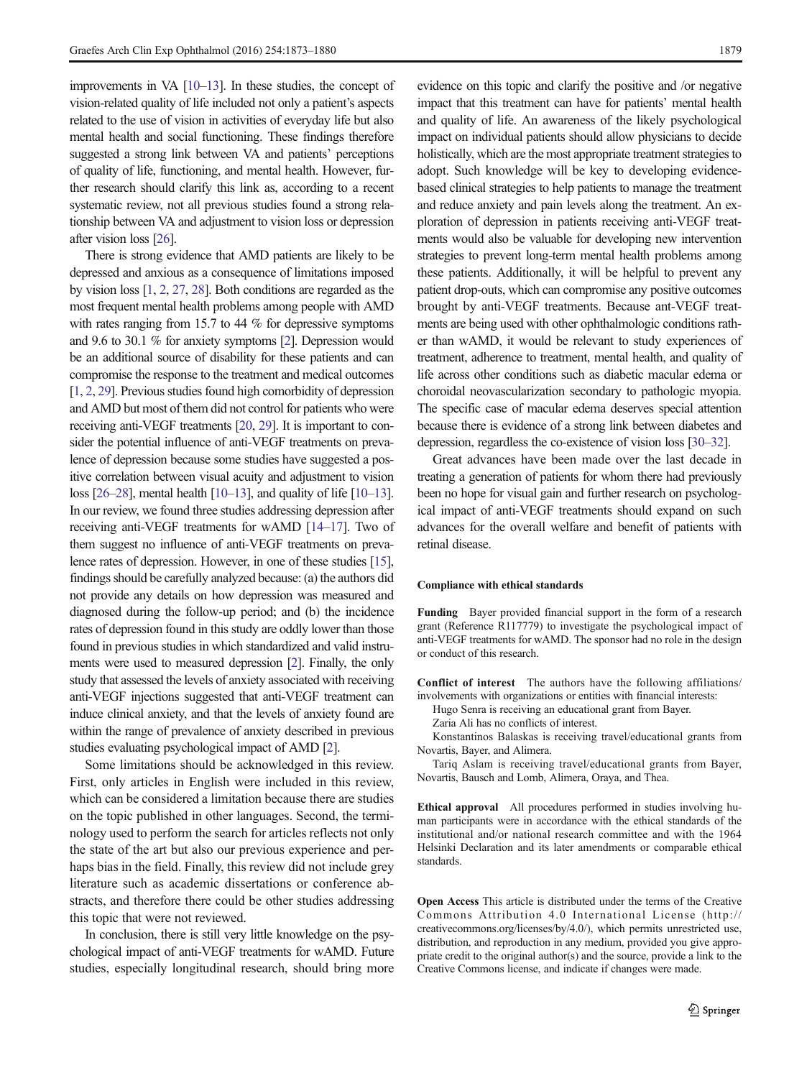improvements in VA [\[10](#page-7-0)–[13\]](#page-7-0). In these studies, the concept of vision-related quality of life included not only a patient's aspects related to the use of vision in activities of everyday life but also mental health and social functioning. These findings therefore suggested a strong link between VA and patients' perceptions of quality of life, functioning, and mental health. However, further research should clarify this link as, according to a recent systematic review, not all previous studies found a strong relationship between VA and adjustment to vision loss or depression after vision loss [\[26](#page-7-0)].

There is strong evidence that AMD patients are likely to be depressed and anxious as a consequence of limitations imposed by vision loss [[1](#page-7-0), [2,](#page-7-0) [27,](#page-7-0) [28](#page-7-0)]. Both conditions are regarded as the most frequent mental health problems among people with AMD with rates ranging from 15.7 to 44 % for depressive symptoms and 9.6 to 30.1 % for anxiety symptoms [[2](#page-7-0)]. Depression would be an additional source of disability for these patients and can compromise the response to the treatment and medical outcomes [\[1,](#page-7-0) [2,](#page-7-0) [29](#page-7-0)]. Previous studies found high comorbidity of depression and AMD but most of them did not control for patients who were receiving anti-VEGF treatments [[20,](#page-7-0) [29](#page-7-0)]. It is important to consider the potential influence of anti-VEGF treatments on prevalence of depression because some studies have suggested a positive correlation between visual acuity and adjustment to vision loss [\[26](#page-7-0)–[28](#page-7-0)], mental health [\[10](#page-7-0)–[13\]](#page-7-0), and quality of life [\[10](#page-7-0)–[13\]](#page-7-0). In our review, we found three studies addressing depression after receiving anti-VEGF treatments for wAMD [[14](#page-7-0)–[17\]](#page-7-0). Two of them suggest no influence of anti-VEGF treatments on prevalence rates of depression. However, in one of these studies [\[15\]](#page-7-0), findings should be carefully analyzed because: (a) the authors did not provide any details on how depression was measured and diagnosed during the follow-up period; and (b) the incidence rates of depression found in this study are oddly lower than those found in previous studies in which standardized and valid instruments were used to measured depression [[2](#page-7-0)]. Finally, the only study that assessed the levels of anxiety associated with receiving anti-VEGF injections suggested that anti-VEGF treatment can induce clinical anxiety, and that the levels of anxiety found are within the range of prevalence of anxiety described in previous studies evaluating psychological impact of AMD [\[2](#page-7-0)].

Some limitations should be acknowledged in this review. First, only articles in English were included in this review, which can be considered a limitation because there are studies on the topic published in other languages. Second, the terminology used to perform the search for articles reflects not only the state of the art but also our previous experience and perhaps bias in the field. Finally, this review did not include grey literature such as academic dissertations or conference abstracts, and therefore there could be other studies addressing this topic that were not reviewed.

In conclusion, there is still very little knowledge on the psychological impact of anti-VEGF treatments for wAMD. Future studies, especially longitudinal research, should bring more

evidence on this topic and clarify the positive and /or negative impact that this treatment can have for patients' mental health and quality of life. An awareness of the likely psychological impact on individual patients should allow physicians to decide holistically, which are the most appropriate treatment strategies to adopt. Such knowledge will be key to developing evidencebased clinical strategies to help patients to manage the treatment and reduce anxiety and pain levels along the treatment. An exploration of depression in patients receiving anti-VEGF treatments would also be valuable for developing new intervention strategies to prevent long-term mental health problems among these patients. Additionally, it will be helpful to prevent any patient drop-outs, which can compromise any positive outcomes brought by anti-VEGF treatments. Because ant-VEGF treatments are being used with other ophthalmologic conditions rather than wAMD, it would be relevant to study experiences of treatment, adherence to treatment, mental health, and quality of life across other conditions such as diabetic macular edema or choroidal neovascularization secondary to pathologic myopia. The specific case of macular edema deserves special attention because there is evidence of a strong link between diabetes and depression, regardless the co-existence of vision loss [\[30](#page-7-0)–[32\]](#page-7-0).

Great advances have been made over the last decade in treating a generation of patients for whom there had previously been no hope for visual gain and further research on psychological impact of anti-VEGF treatments should expand on such advances for the overall welfare and benefit of patients with retinal disease.

#### Compliance with ethical standards

Funding Bayer provided financial support in the form of a research grant (Reference R117779) to investigate the psychological impact of anti-VEGF treatments for wAMD. The sponsor had no role in the design or conduct of this research.

Conflict of interest The authors have the following affiliations/ involvements with organizations or entities with financial interests:

Hugo Senra is receiving an educational grant from Bayer.

Zaria Ali has no conflicts of interest.

Konstantinos Balaskas is receiving travel/educational grants from Novartis, Bayer, and Alimera.

Tariq Aslam is receiving travel/educational grants from Bayer, Novartis, Bausch and Lomb, Alimera, Oraya, and Thea.

Ethical approval All procedures performed in studies involving human participants were in accordance with the ethical standards of the institutional and/or national research committee and with the 1964 Helsinki Declaration and its later amendments or comparable ethical standards.

Open Access This article is distributed under the terms of the Creative Commons Attribution 4.0 International License (http:// creativecommons.org/licenses/by/4.0/), which permits unrestricted use, distribution, and reproduction in any medium, provided you give appropriate credit to the original author(s) and the source, provide a link to the Creative Commons license, and indicate if changes were made.